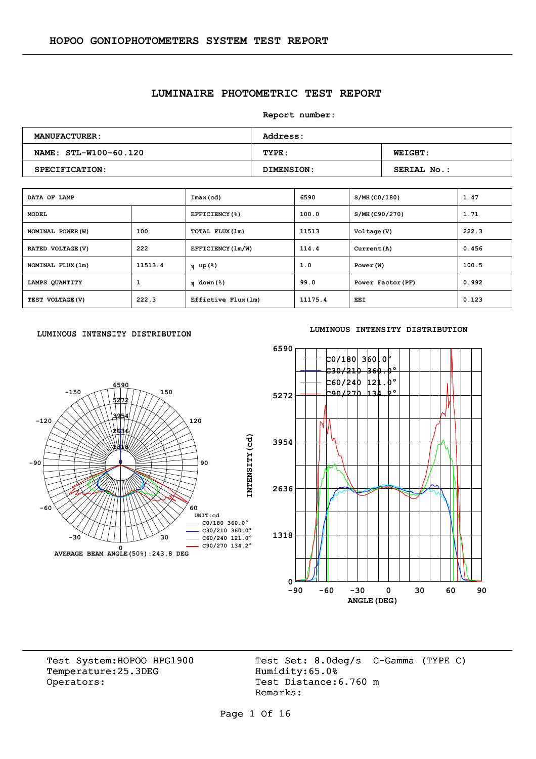## **LUMINAIRE PHOTOMETRIC TEST REPORT**

**Report number:** 

| <b>MANUFACTURER :</b> | <b>Address:</b> |                    |  |  |  |  |  |
|-----------------------|-----------------|--------------------|--|--|--|--|--|
| NAME: STL-W100-60.120 | TYPE:           | <b>WEIGHT:</b>     |  |  |  |  |  |
| SPECIFICATION:        | DIMENSION:      | <b>SERIAL No.:</b> |  |  |  |  |  |

| DATA OF LAMP      |         | Imax(cd)            | 6590    | S/MH (CO/180)     | 1.47  |
|-------------------|---------|---------------------|---------|-------------------|-------|
| <b>MODEL</b>      |         | EFFICIENCY(%)       | 100.0   | S/MH(C90/270)     | 1.71  |
| NOMINAL POWER (W) | 100     | TOTAL FLUX (1m)     | 11513   | Voltage (V)       | 222.3 |
| RATED VOLTAGE (V) | 222     | EFFICIENCY (1m/W)   | 114.4   | Current (A)       | 0.456 |
| NOMINAL FLUX (1m) | 11513.4 | η up(%)             | 1.0     | Power (W)         | 100.5 |
| LAMPS QUANTITY    | 1       | $\eta$ down (%)     | 99.0    | Power Factor (PF) | 0.992 |
| TEST VOLTAGE (V)  | 222.3   | Effictive Flux (1m) | 11175.4 | EEI               | 0.123 |

#### LUMINOUS INTENSITY DISTRIBUTION



#### **LUMINOUS INTENSITY DISTRIBUTION**



Temperature:25.3DEG Operators: Test Distance: 6.760 m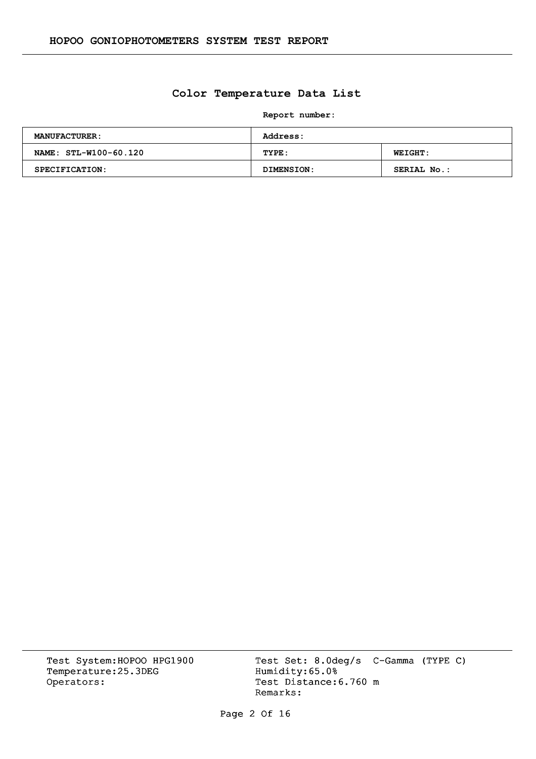## **Color Temperature Data List**

**Report number:** 

| <b>MANUFACTURER:</b>  | <b>Address:</b> |                |  |  |  |  |
|-----------------------|-----------------|----------------|--|--|--|--|
| NAME: STL-W100-60.120 | TYPE:           | <b>WEIGHT:</b> |  |  |  |  |
| SPECIFICATION:        | DIMENSION:      | SERIAL No.:    |  |  |  |  |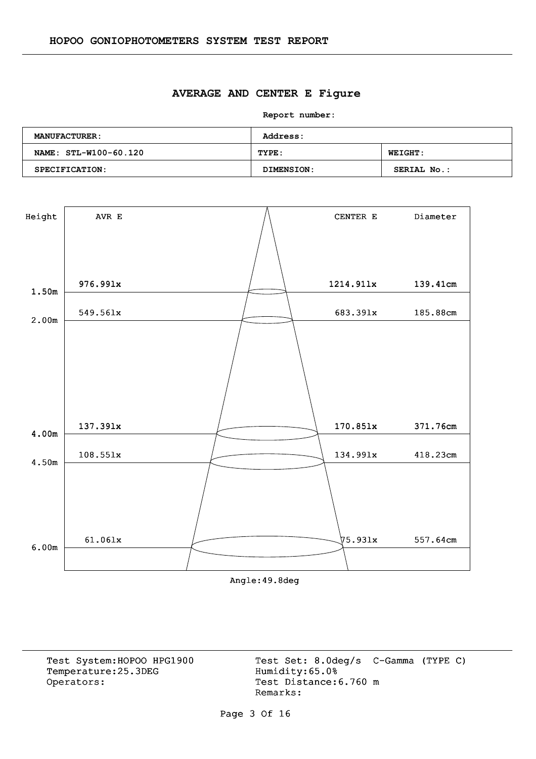#### **AVERAGE AND CENTER E Figure**

**Report number:** 

| <b>MANUFACTURER:</b>  | <b>Address:</b> |                    |  |  |  |  |  |
|-----------------------|-----------------|--------------------|--|--|--|--|--|
| NAME: STL-W100-60.120 | TYPE:           | <b>WEIGHT:</b>     |  |  |  |  |  |
| SPECIFICATION:        | DIMENSION:      | <b>SERIAL No.:</b> |  |  |  |  |  |



Angle:49.8deg

Temperature:25.3DEG Operators: Test Distance: 6.760 m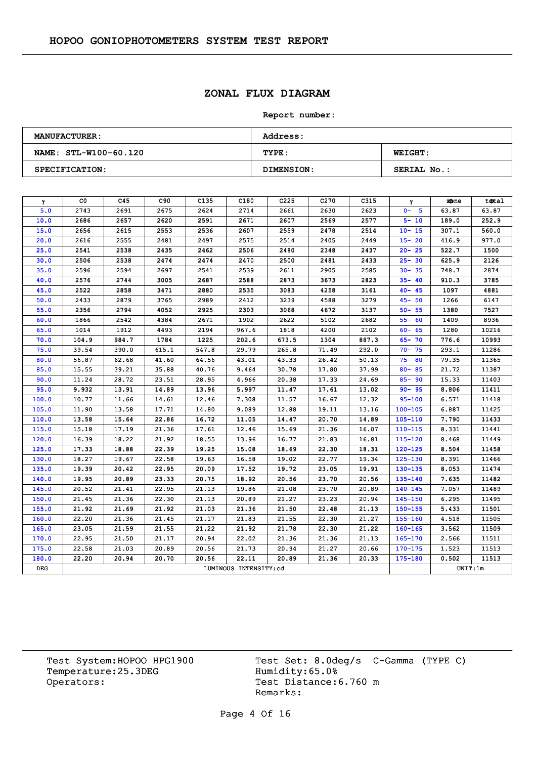## **ZONAL FLUX DIAGRAM**

#### **Report number:**

| <b>MANUFACTURER:</b>  | <b>Address:</b>   |                    |  |  |  |  |  |
|-----------------------|-------------------|--------------------|--|--|--|--|--|
| NAME: STL-W100-60.120 | TYPE:             | <b>WEIGHT:</b>     |  |  |  |  |  |
| SPECIFICATION:        | <b>DIMENSION:</b> | <b>SERIAL No.:</b> |  |  |  |  |  |

| γ     | CO.   | C45   | C90   | C <sub>135</sub> | C180                  | C <sub>225</sub> | C <sub>270</sub> | C315  | γ           | zone    | total |
|-------|-------|-------|-------|------------------|-----------------------|------------------|------------------|-------|-------------|---------|-------|
| 5.0   | 2743  | 2691  | 2675  | 2624             | 2714                  | 2661             | 2630             | 2623  | $0 - 5$     | 63.87   | 63.87 |
| 10.0  | 2686  | 2657  | 2620  | 2591             | 2671                  | 2607             | 2569             | 2577  | $5 - 10$    | 189.0   | 252.9 |
| 15.0  | 2656  | 2615  | 2553  | 2536             | 2607                  | 2559             | 2478             | 2514  | $10 - 15$   | 307.1   | 560.0 |
| 20.0  | 2616  | 2555  | 2481  | 2497             | 2575                  | 2514             | 2405             | 2449  | $15 - 20$   | 416.9   | 977.0 |
| 25.0  | 2541  | 2538  | 2435  | 2462             | 2506                  | 2480             | 2348             | 2437  | $20 - 25$   | 522.7   | 1500  |
| 30.0  | 2506  | 2538  | 2474  | 2474             | 2470                  | 2500             | 2481             | 2433  | $25 - 30$   | 625.9   | 2126  |
| 35.0  | 2596  | 2594  | 2697  | 2541             | 2539                  | 2611             | 2905             | 2585  | $30 - 35$   | 748.7   | 2874  |
| 40.0  | 2576  | 2744  | 3005  | 2687             | 2588                  | 2873             | 3673             | 2823  | $35 - 40$   | 910.3   | 3785  |
| 45.0  | 2522  | 2858  | 3471  | 2880             | 2535                  | 3083             | 4258             | 3161  | $40 - 45$   | 1097    | 4881  |
| 50.0  | 2433  | 2879  | 3765  | 2989             | 2412                  | 3239             | 4588             | 3279  | $45 - 50$   | 1266    | 6147  |
| 55.0  | 2356  | 2794  | 4052  | 2925             | 2303                  | 3068             | 4672             | 3137  | $50 - 55$   | 1380    | 7527  |
| 60.0  | 1866  | 2542  | 4384  | 2671             | 1902                  | 2622             | 5102             | 2682  | $55 - 60$   | 1409    | 8936  |
| 65.0  | 1014  | 1912  | 4493  | 2194             | 967.6                 | 1818             | 4200             | 2102  | $60 - 65$   | 1280    | 10216 |
| 70.0  | 104.9 | 984.7 | 1784  | 1225             | 202.6                 | 673.5            | 1304             | 887.3 | $65 - 70$   | 776.6   | 10993 |
| 75.0  | 39.54 | 390.0 | 615.1 | 547.8            | 29.79                 | 265.8            | 71.49            | 292.0 | $70 - 75$   | 293.1   | 11286 |
| 80.0  | 56.87 | 62.68 | 41.60 | 64.56            | 43.01                 | 43.33            | 26.42            | 50.13 | $75 - 80$   | 79.35   | 11365 |
| 85.0  | 15.55 | 39.21 | 35.88 | 40.76            | 9.464                 | 30.78            | 17.80            | 37.99 | $80 - 85$   | 21.72   | 11387 |
| 90.0  | 11.24 | 28.72 | 23.51 | 28.95            | 4.966                 | 20.38            | 17.33            | 24.69 | $85 - 90$   | 15.33   | 11403 |
| 95.0  | 9.932 | 13.91 | 14.89 | 13.96            | 5.997                 | 11.47            | 17.61            | 13.02 | $90 - 95$   | 8.806   | 11411 |
| 100.0 | 10.77 | 11.66 | 14.61 | 12.46            | 7.308                 | 11.57            | 16.67            | 12.32 | $95 - 100$  | 6.571   | 11418 |
| 105.0 | 11.90 | 13.58 | 17.71 | 14.80            | 9.089                 | 12.88            | 19.11            | 13.16 | $100 - 105$ | 6.887   | 11425 |
| 110.0 | 13.58 | 15.64 | 22.86 | 16.72            | 11.05                 | 14.47            | 20.70            | 14.89 | $105 - 110$ | 7.790   | 11433 |
| 115.0 | 15.18 | 17.19 | 21.36 | 17.61            | 12.46                 | 15.69            | 21.36            | 16.07 | 110-115     | 8.331   | 11441 |
| 120.0 | 16.39 | 18.22 | 21.92 | 18.55            | 13.96                 | 16.77            | 21.83            | 16.81 | 115-120     | 8.468   | 11449 |
| 125.0 | 17.33 | 18.88 | 22.39 | 19.25            | 15.08                 | 18.69            | 22.30            | 18.31 | $120 - 125$ | 8.504   | 11458 |
| 130.0 | 18.27 | 19.67 | 22.58 | 19.63            | 16.58                 | 19.02            | 22.77            | 19.34 | $125 - 130$ | 8.391   | 11466 |
| 135.0 | 19.39 | 20.42 | 22.95 | 20.09            | 17.52                 | 19.72            | 23.05            | 19.91 | $130 - 135$ | 8.053   | 11474 |
| 140.0 | 19.95 | 20.89 | 23.33 | 20.75            | 18.92                 | 20.56            | 23.70            | 20.56 | 135-140     | 7.635   | 11482 |
| 145.0 | 20.52 | 21.41 | 22.95 | 21.13            | 19.86                 | 21.08            | 23.70            | 20.89 | $140 - 145$ | 7.057   | 11489 |
| 150.0 | 21.45 | 21.36 | 22.30 | 21.13            | 20.89                 | 21.27            | 23.23            | 20.94 | $145 - 150$ | 6.295   | 11495 |
| 155.0 | 21.92 | 21.69 | 21.92 | 21.03            | 21.36                 | 21.50            | 22.48            | 21.13 | $150 - 155$ | 5.433   | 11501 |
| 160.0 | 22,20 | 21.36 | 21.45 | 21.17            | 21.83                 | 21.55            | 22.30            | 21.27 | $155 - 160$ | 4.518   | 11505 |
| 165.0 | 23.05 | 21.59 | 21.55 | 21.22            | 21.92                 | 21.78            | 22.30            | 21.22 | $160 - 165$ | 3.562   | 11509 |
| 170.0 | 22.95 | 21.50 | 21.17 | 20.94            | 22.02                 | 21.36            | 21.36            | 21.13 | $165 - 170$ | 2.566   | 11511 |
| 175.0 | 22.58 | 21.03 | 20.89 | 20.56            | 21.73                 | 20.94            | 21.27            | 20.66 | $170 - 175$ | 1.523   | 11513 |
| 180.0 | 22.20 | 20.94 | 20.70 | 20.56            | 22.11                 | 20.89            | 21.36            | 20.33 | $175 - 180$ | 0.502   | 11513 |
| DEG   |       |       |       |                  | LUMINOUS INTENSITY:cd |                  |                  |       |             | UNIT:1m |       |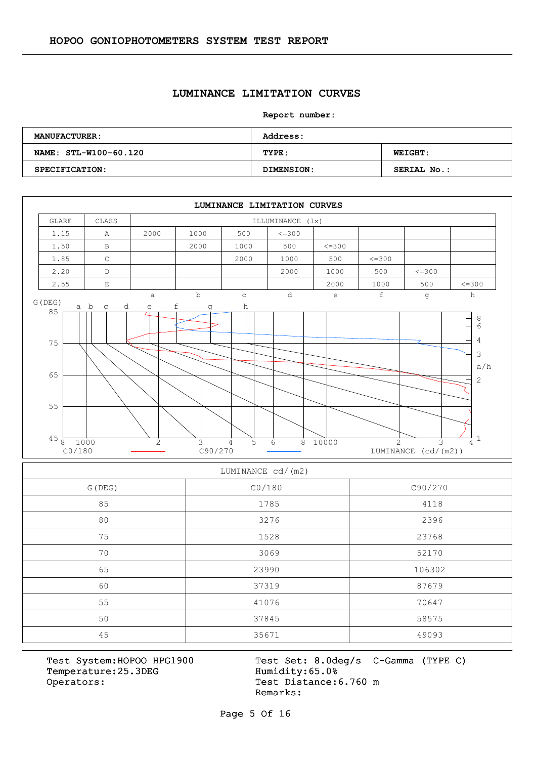#### **LUMINANCE LIMITATION CURVES**

**Report number:** 

| <b>MANUFACTURER:</b>  | <b>Address:</b>   |                    |  |  |  |  |  |
|-----------------------|-------------------|--------------------|--|--|--|--|--|
| NAME: STL-W100-60.120 | TYPE:             | <b>WEIGHT:</b>     |  |  |  |  |  |
| SPECIFICATION:        | <b>DIMENSION:</b> | <b>SERIAL No.:</b> |  |  |  |  |  |



| LUMINANCE CU/ (IIIZ) |        |         |  |  |  |  |  |  |
|----------------------|--------|---------|--|--|--|--|--|--|
| G (DEG)              | CO/180 | C90/270 |  |  |  |  |  |  |
| 85                   | 1785   | 4118    |  |  |  |  |  |  |
| 80                   | 3276   | 2396    |  |  |  |  |  |  |
| 75                   | 1528   | 23768   |  |  |  |  |  |  |
| 70                   | 3069   | 52170   |  |  |  |  |  |  |
| 65                   | 23990  | 106302  |  |  |  |  |  |  |
| 60                   | 37319  | 87679   |  |  |  |  |  |  |
| 55                   | 41076  | 70647   |  |  |  |  |  |  |
| 50                   | 37845  | 58575   |  |  |  |  |  |  |
| 45                   | 35671  | 49093   |  |  |  |  |  |  |

Temperature:25.3DEG Operators: Test Distance: 6.760 m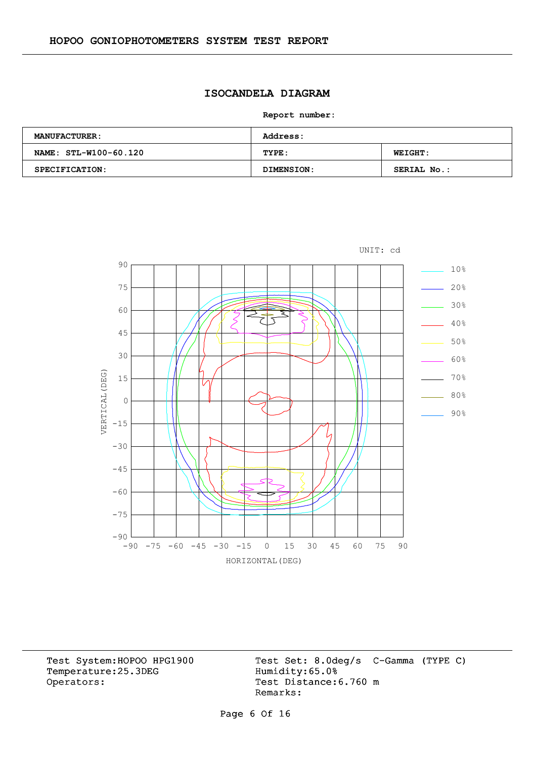# **ISOCANDELA DIAGRAM**

**Report number:** 

| <b>MANUFACTURER:</b>  | <b>Address:</b> |                |  |  |  |  |  |
|-----------------------|-----------------|----------------|--|--|--|--|--|
| NAME: STL-W100-60.120 | TYPE:           | <b>WEIGHT:</b> |  |  |  |  |  |
| SPECIFICATION:        | DIMENSION:      | SERIAL No.:    |  |  |  |  |  |



Temperature:25.3DEG Operators: Test Distance: 6.760 m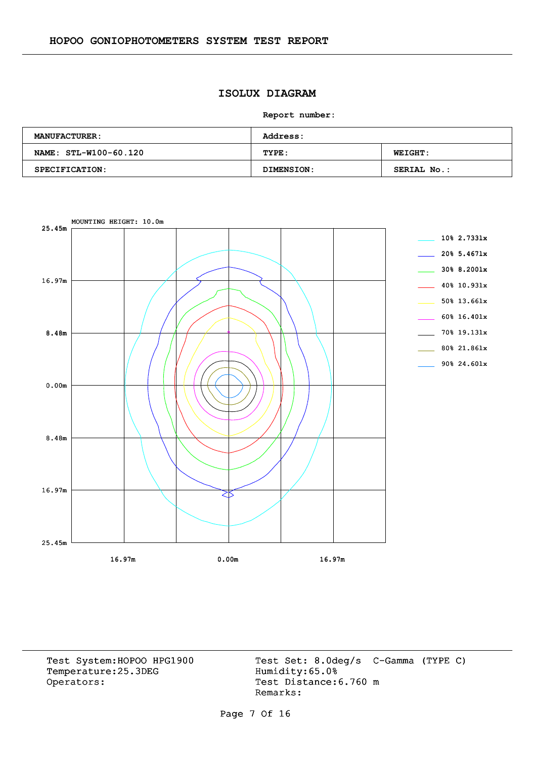# **ISOLUX DIAGRAM**

**Report number:** 

| <b>MANUFACTURER:</b>  | <b>Address:</b> |                    |  |  |  |  |  |
|-----------------------|-----------------|--------------------|--|--|--|--|--|
| NAME: STL-W100-60.120 | TYPE:           | <b>WEIGHT:</b>     |  |  |  |  |  |
| <b>SPECIFICATION:</b> | DIMENSION:      | <b>SERIAL No.:</b> |  |  |  |  |  |



Temperature:25.3DEG Operators: Test Distance: 6.760 m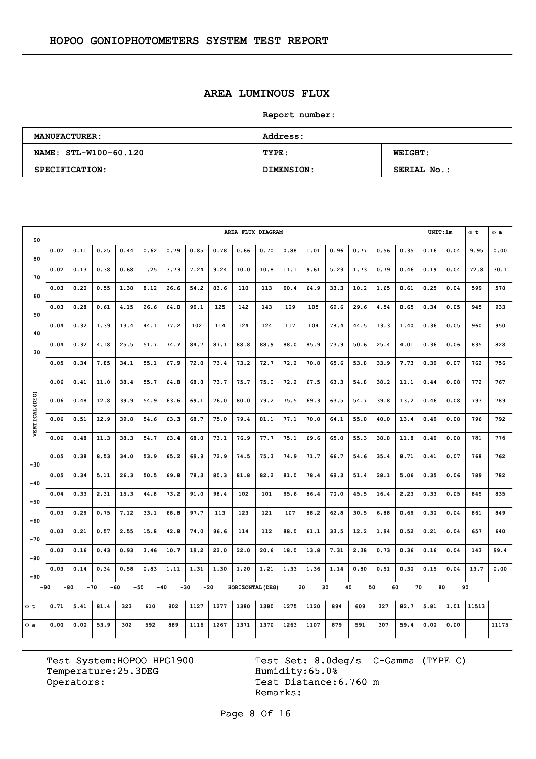# **AREA LUMINOUS FLUX**

**Report number:** 

| <b>MANUFACTURER:</b>  | Address:   |                    |  |  |  |  |  |
|-----------------------|------------|--------------------|--|--|--|--|--|
| NAME: STL-W100-60.120 | TYPE:      | <b>WEIGHT:</b>     |  |  |  |  |  |
| SPECIFICATION:        | DIMENSION: | <b>SERIAL No.:</b> |  |  |  |  |  |

| 90             | AREA FLUX DIAGRAM |       |       |       |       |       |       |      |                  |      |      |      | UNIT:1m  |      | $\Phi$ <sub>t</sub> | $\Phi$ a |      |      |       |       |
|----------------|-------------------|-------|-------|-------|-------|-------|-------|------|------------------|------|------|------|----------|------|---------------------|----------|------|------|-------|-------|
| 80             | 0.02              | 0.11  | 0.25  | 0.44  | 0.62  | 0.79  | 0.85  | 0.78 | 0.66             | 0.70 | 0.88 | 1.01 | 0.96     | 0.77 | 0.56                | 0.35     | 0.16 | 0.04 | 9.95  | 0.00  |
| 70             | 0.02              | 0.13  | 0.38  | 0.68  | 1.25  | 3.73  | 7.24  | 9.24 | 10.0             | 10.8 | 11.1 | 9.61 | 5.23     | 1.73 | 0.79                | 0.46     | 0.19 | 0.04 | 72.8  | 30.1  |
|                | 0.03              | 0.20  | 0.55  | 1.38  | 8.12  | 26.6  | 54.2  | 83.6 | 110              | 113  | 90.4 | 64.9 | 33.3     | 10.2 | 1.65                | 0.61     | 0.25 | 0.04 | 599   | 578   |
| 60             | 0.03              | 0.28  | 0.61  | 4.15  | 26.6  | 64.0  | 99.1  | 125  | 142              | 143  | 129  | 105  | 69.6     | 29.6 | 4.54                | 0.65     | 0.34 | 0.05 | 945   | 933   |
| 50             | 0.04              | 0.32  | 1.39  | 13.4  | 44.1  | 77.2  | 102   | 114  | 124              | 124  | 117  | 104  | 78.4     | 44.5 | 13.3                | 1.40     | 0.36 | 0.05 | 960   | 950   |
| 40             | 0.04              | 0.32  | 4.18  | 25.5  | 51.7  | 74.7  | 84.7  | 87.1 | 88.8             | 88.9 | 88.0 | 85.9 | 73.9     | 50.6 | 25.4                | 4.01     | 0.36 | 0.06 | 835   | 828   |
| 30             | 0.05              | 0.34  | 7.85  | 34.1  | 55.1  | 67.9  | 72.0  | 73.4 | 73.2             | 72.7 | 72.2 | 70.8 | 65.6     | 53.8 | 33.9                | 7.73     | 0.39 | 0.07 | 762   | 756   |
|                | 0.06              | 0.41  | 11.0  | 38.4  | 55.7  | 64.8  | 68.8  | 73.7 | 75.7             | 75.0 | 72.2 | 67.5 | 63.3     | 54.8 | 38.2                | 11.1     | 0.44 | 0.08 | 772   | 767   |
|                | 0.06              | 0.48  | 12.8  | 39.9  | 54.9  | 63.6  | 69.1  | 76.0 | 80.0             | 79.2 | 75.5 | 69.3 | 63.5     | 54.7 | 39.8                | 13.2     | 0.46 | 0.08 | 793   | 789   |
| VERTICAL (DEG) | 0.06              | 0.51  | 12.9  | 39.8  | 54.6  | 63.3  | 68.7  | 75.0 | 79.4             | 81.1 | 77.1 | 70.0 | 64.1     | 55.0 | 40.0                | 13.4     | 0.49 | 0.08 | 796   | 792   |
|                | 0.06              | 0.48  | 11.3  | 38.3  | 54.7  | 63.4  | 68.0  | 73.1 | 76.9             | 77.7 | 75.1 | 69.6 | 65.0     | 55.3 | 38.8                | 11.8     | 0.49 | 0.08 | 781   | 776   |
|                | 0.05              | 0.38  | 8.53  | 34.0  | 53.9  | 65.2  | 69.9  | 72.9 | 74.5             | 75.3 | 74.9 | 71.7 | 66.7     | 54.6 | 35.4                | 8.71     | 0.41 | 0.07 | 768   | 762   |
| $-30$          | 0.05              | 0.34  | 5.11  | 26.3  | 50.5  | 69.8  | 78.3  | 80.3 | 81.8             | 82.2 | 81.0 | 78.4 | 69.3     | 51.4 | 28.1                | 5.06     | 0.35 | 0.06 | 789   | 782   |
| $-40$          | 0.04              | 0.33  | 2.31  | 15.3  | 44.8  | 73.2  | 91.0  | 98.4 | 102              | 101  | 95.6 | 86.4 | 70.0     | 45.5 | 16.4                | 2.23     | 0.33 | 0.05 | 845   | 835   |
| $-50$          |                   |       |       |       |       |       |       |      |                  |      |      |      |          |      |                     |          |      |      |       |       |
| $-60$          | 0.03              | 0.29  | 0.75  | 7.12  | 33.1  | 68.8  | 97.7  | 113  | 123              | 121  | 107  | 88.2 | 62.8     | 30.5 | 6.88                | 0.69     | 0.30 | 0.04 | 861   | 849   |
| $-70$          | 0.03              | 0.21  | 0.57  | 2.55  | 15.8  | 42.8  | 74.0  | 96.6 | 114              | 112  | 88.0 | 61.1 | 33.5     | 12.2 | 1.94                | 0.52     | 0.21 | 0.04 | 657   | 640   |
| $-80$          | 0.03              | 0.16  | 0.43  | 0.93  | 3.46  | 10.7  | 19.2  | 22.0 | 22.0             | 20.6 | 18.0 | 13.8 | 7.31     | 2.38 | 0.73                | 0.36     | 0.16 | 0.04 | 143   | 99.4  |
| $-90$          | 0.03              | 0.14  | 0.34  | 0.58  | 0.83  | 1,11  | 1.31  | 1.30 | 1.20             | 1.21 | 1.33 | 1.36 | 1.14     | 0.80 | 0.51                | 0.30     | 0.15 | 0.04 | 13.7  | 0.00  |
| $-90$          | -80               | $-70$ | $-60$ | $-50$ | $-40$ | $-30$ | $-20$ |      | HORIZONTAL (DEG) |      |      | 20   | 30<br>40 | 50   | 60                  | 70       | 80   |      | 90    |       |
| $\Phi$ t       | 0.71              | 5.41  | 81.4  | 323   | 610   | 902   | 1127  | 1277 | 1380             | 1380 | 1275 | 1120 | 894      | 609  | 327                 | 82.7     | 5.81 | 1.01 | 11513 |       |
| $\Phi$ a       | 0.00              | 0.00  | 53.9  | 302   | 592   | 889   | 1116  | 1267 | 1371             | 1370 | 1263 | 1107 | 879      | 591  | 307                 | 59.4     | 0.00 | 0.00 |       | 11175 |

Temperature:25.3DEG Operators: Test Distance: 6.760 m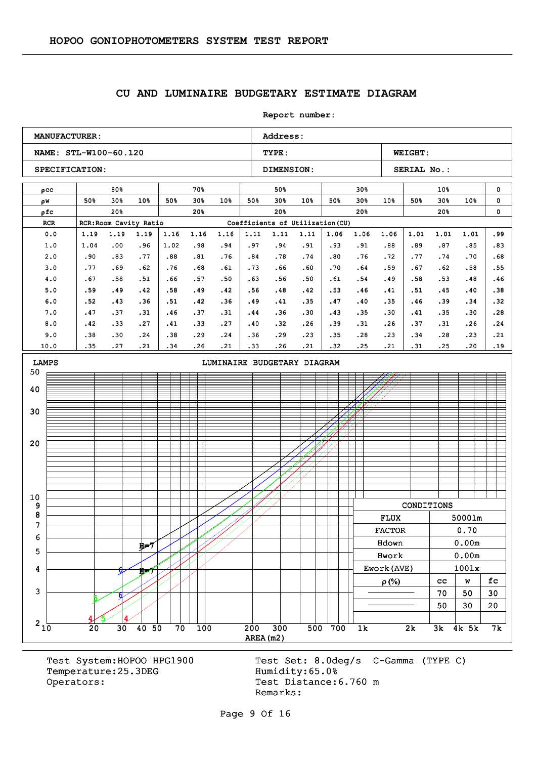#### **CU AND LUMINAIRE BUDGETARY ESTIMATE DIAGRAM**

**Report number: NAME: STL-W100-60.120 TYPE: WEIGHT:** SPECIFICATION: DIMENSION: SERIAL No.: **MANUFACTURER:** Address: ρcc w ρ ρfc RCR RCR:Room Cavity Ratio Coefficients of Utilization (CU) 80% 50% 30% 50% 30% 10% 20% 70% 50% 30% 50% 30% 10% 20% 50% 50% 30% 50% 30% 10% 20% 30% 50% 30% 50% 30% 10% 20% 10% 50% 30% 50% 30% 10% 20% 0  $\mathbf{0}$ 0 0.0 1.0 2.0 3.0 4.0 5.0 6.0 7.0 8.0 9.0 10.0 1.19 1.04 .90 .77 .67 .59 .52 .47 .42 .38 .35 1.19 .00 .83 .69 .58 .49 .43 .37 .33 .30 .27 1.19 .96 .77 .62 .51 .42 .36 .31 .27 .24 .21 1.16 1.02 .88 .76 .66 .58 .51 .46 .41 .38 .34 1.16 .98 .81 .68 .57 .49 .42 .37 .33 .29 .26 1.16 .94 .76 .61 .50 .42 .36 .31 .27 .24 .21 1.11 .97 .84 .73 .63 .56 .49 .44 .40 .36 .33 1.11 .94 .78 .66 .56 .48 .41 .36 .32 .29 .26 1.11 .91 .74 .60 .50 .42 .35 .30 .26 .23 .21 1.06 .93 .80 .70 .61 .53 .47 .43 .39 .35 .32 1.06 .91 .76 .64 .54 .46 .40 .35 .31 .28 .25 1.06 .88 .72 .59 .49 .41 .35 .30 .26 .23 .21 1.01 .89 .77 .67 .58 .51 .46 .41 .37 .34 .31 1.01 .87 .74 .62 .53 .45 .39 .35 .31 .28 .25 1.01 .85 .70 .58 .48 .40 .34 .30 .26  $.23$ .20 .99 .83 .68 .55 .46 .38 .32 .28 .24 .21 .19  $210$  20 30 40 50 70 100 200 300 500 700 1k 2k 3k 4k 5k 7k 3 4 5 6 7 8 9 10 20 30 40 50 LAMPS **LAMPS LIMINAIRE BUDGETARY DIAGRAM**  $5/14$ 6 H=7 4 5 6 น่⇒7 CONDITIONS FLUX 5000lm FLUX 5000lm FACTOR 0.70 Hdown 0.00m Hdown 0.00m Hwork 0.00m Hwork 0.00m Ework(AVE)  $\vert$  1001x  $\rho(\%)$  | cc | w | fc  $70 \mid 50 \mid 30$  $50 \mid 30 \mid 20$ 

Temperature: 25.3DEG Humidity: 65.0% Operators: Test Distance: 6.760 m

Test System:HOPOO HPG1900 Test Set: 8.0deg/s C-Gamma (TYPE C) Remarks:

Page 9 Of 16

AREA(m2)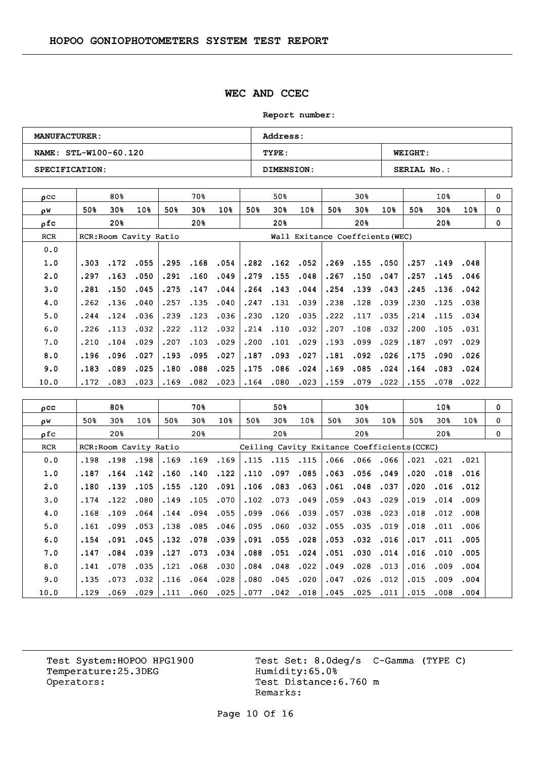#### **WEC AND CCEC**

**Report number:** 

| <b>MANUFACTURER:</b>  | <b>Address:</b>   |                    |  |  |  |  |
|-----------------------|-------------------|--------------------|--|--|--|--|
| NAME: STL-W100-60.120 | TYPE:             | <b>WEIGHT:</b>     |  |  |  |  |
| SPECIFICATION:        | <b>DIMENSION:</b> | <b>SERIAL No.:</b> |  |  |  |  |

| $_{\text{O}}$ CC |      | 80%  |                        |      | 70월  |      |      | 50%  |                 |                                 | 30%      |      |      | 10 <sub>8</sub> |          | 0 |
|------------------|------|------|------------------------|------|------|------|------|------|-----------------|---------------------------------|----------|------|------|-----------------|----------|---|
| οW               | 50%  | 30%  | 10%                    | 50%  | 30%  | 10%  | 50%  | 30%  | 10 <sub>8</sub> | 50%                             | 30%      | 10%  | 50%  | 30%             | $10\%$   | 0 |
| n f c            |      | 20%  |                        |      | 20%  |      |      | 20%  |                 |                                 | 20%      |      |      | 20%             |          | 0 |
| <b>RCR</b>       |      |      | RCR: Room Cavity Ratio |      |      |      |      |      |                 | Wall Exitance Coeffcients (WEC) |          |      |      |                 |          |   |
| 0.0              |      |      |                        |      |      |      |      |      |                 |                                 |          |      |      |                 |          |   |
| 1.0              | .303 | .172 | .055                   | .295 | .168 | .054 | .282 | .162 | .052            |                                 | .269.155 | .050 | .257 | .149            | .048     |   |
| 2.0              | .297 | .163 | .050                   | .291 | .160 | .049 | .279 | .155 | .048            | .267                            | .150     | .047 | .257 | .145            | .046     |   |
| 3.0              | .281 | .150 | .045                   | .275 | .147 | .044 | .264 | .143 | .044            | .254                            | .139     | .043 | .245 |                 | .136.042 |   |
| 4.0              | .262 | .136 | .040                   | .257 | .135 | .040 | .247 | .131 | .039            | .238                            | .128     | .039 | .230 | .125            | .038     |   |
| 5.0              | .244 | .124 | .036                   | .239 | .123 | .036 | .230 | .120 | .035            | .222                            | .117     | .035 | .214 | .115            | .034     |   |
| 6.0              | .226 | .113 | .032                   | .222 | .112 | .032 | .214 | .110 | .032            | .207                            | .108     | .032 | .200 | .105            | .031     |   |
| 7.0              | .210 | .104 | .029                   | .207 | .103 | .029 | .200 | .101 | .029            | .193                            | .099     | .029 | .187 | .097            | .029     |   |
| 8.0              | .196 | .096 | .027                   | .193 | .095 | .027 | .187 | .093 | .027            | .181                            | .092     | .026 | .175 | .090            | .026     |   |
| 9.0              | .183 | .089 | .025                   | .180 | .088 | .025 | .175 | .086 | .024            | .169                            | .085     | .024 | .164 | .083            | .024     |   |
| 10.0             | .172 | .083 | .023                   | .169 | .082 | .023 | .164 | .080 | .023            | .159                            | .079     | .022 | .155 | .078            | .022     |   |

| $_{\text{pcc}}$ |      | 80%             |                        |      | 70%                                         |      |      | 50%      |                 |      | 30%  |      |      | 10%  |                 | 0 |
|-----------------|------|-----------------|------------------------|------|---------------------------------------------|------|------|----------|-----------------|------|------|------|------|------|-----------------|---|
| ρW              | 50%  | 30%             | 10 <sub>8</sub>        | 50%  | 30%                                         | 10%  | 50%  | 30%      | 10 <sub>8</sub> | 50%  | 30%  | 10%  | 50%  | 30%  | 10 <sub>8</sub> | 0 |
| ρfc             |      | 20 <sub>8</sub> |                        |      | 20%                                         |      |      | 20%      |                 |      | 20%  |      |      | 20%  |                 | 0 |
| <b>RCR</b>      |      |                 | RCR: Room Cavity Ratio |      | Ceiling Cavity Exitance Coefficients (CCEC) |      |      |          |                 |      |      |      |      |      |                 |   |
| 0.0             | .198 | .198            | .198                   | .169 | .169                                        | .169 |      | .115.115 | .115            | .066 | .066 | .066 | .021 | .021 | .021            |   |
| 1.0             | .187 | .164            | .142                   | .160 | .140                                        | .122 | .110 | .097     | .085            | .063 | .056 | .049 | .020 | .018 | .016            |   |
| 2.0             | .180 | .139            | .105                   | .155 | .120                                        | .091 | .106 | .083     | .063            | .061 | .048 | .037 | .020 | .016 | .012            |   |
| 3.0             | .174 | .122            | .080                   | .149 | .105                                        | .070 | .102 | .073     | .049            | .059 | .043 | .029 | .019 | .014 | .009            |   |
| 4.0             | .168 | .109            | .064                   | .144 | .094                                        | .055 | .099 | .066     | .039            | .057 | .038 | .023 | .018 | .012 | .008            |   |
| 5.0             | .161 | .099            | .053                   | .138 | .085                                        | .046 | .095 | .060     | .032            | .055 | .035 | .019 | .018 | .011 | .006            |   |
| 6.0             | .154 | .091            | .045                   | .132 | .078                                        | .039 | .091 | .055     | .028            | .053 | .032 | .016 | .017 | .011 | .005            |   |
| 7.0             | .147 | .084            | .039                   | .127 | .073                                        | .034 | .088 | .051     | .024            | .051 | .030 | .014 | .016 | .010 | .005            |   |
| 8.0             | .141 | .078            | .035                   | .121 | .068                                        | .030 | .084 | .048     | .022            | .049 | .028 | .013 | .016 | .009 | .004            |   |
| 9.0             | .135 | .073            | .032                   | .116 | .064                                        | .028 | .080 | .045     | .020            | .047 | .026 | .012 | .015 | .009 | .004            |   |
| 10.0            | .129 | .069            | .029                   | .111 | .060                                        | .025 | .077 | .042     | .018            | .045 | .025 | .011 | .015 | .008 | .004            |   |

Temperature:25.3DEG Operators: Test Distance: 6.760 m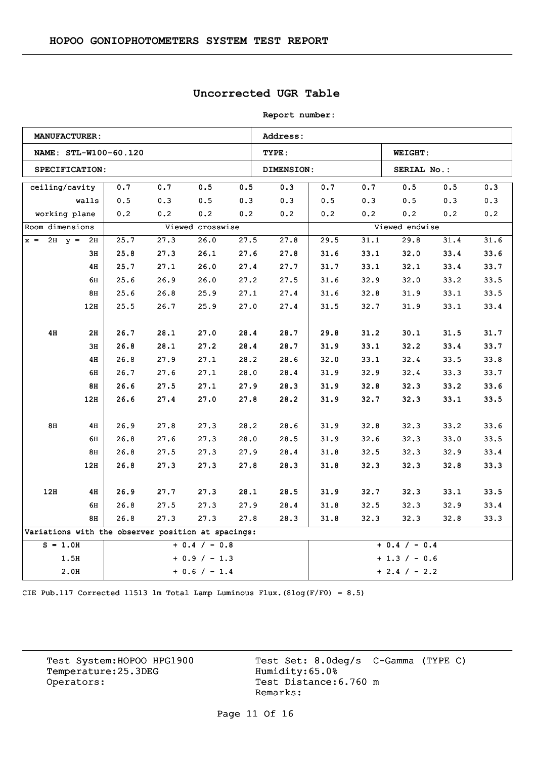## **Uncorrected UGR Table**

| <b>Report number:</b> |  |
|-----------------------|--|
|-----------------------|--|

|                                                    | <b>MANUFACTURER:</b> |                       |      |                  |      | Address:          |                 |      |                 |      |      |  |
|----------------------------------------------------|----------------------|-----------------------|------|------------------|------|-------------------|-----------------|------|-----------------|------|------|--|
|                                                    |                      | NAME: STL-W100-60.120 |      |                  |      | TYPE:             |                 |      | <b>WEIGHT:</b>  |      |      |  |
|                                                    | SPECIFICATION:       |                       |      |                  |      | <b>DIMENSION:</b> |                 |      | SERIAL No.:     |      |      |  |
| ceiling/cavity                                     |                      | 0.7                   | 0.7  | 0.5              | 0.5  | 0.3               | 0.7             | 0.7  | 0.5             | 0.5  | 0.3  |  |
|                                                    | walls                | 0.5                   | 0.3  | $0.5$            | 0.3  | 0.3               | 0.5             | 0.3  | 0.5             | 0.3  | 0.3  |  |
| working plane                                      |                      | 0.2                   | 0.2  | 0.2              | 0.2  | 0.2               | 0.2             | 0.2  | 0.2             | 0.2  | 0.2  |  |
| Room dimensions                                    |                      |                       |      | Viewed crosswise |      |                   |                 |      | Viewed endwise  |      |      |  |
| $x = 2H$ $y = 2H$                                  |                      | 25.7                  | 27.3 | 26.0             | 27.5 | 27.8              | 29.5            | 31.1 | 29.8            | 31.4 | 31.6 |  |
|                                                    | ЗН                   | 25.8                  | 27.3 | 26.1             | 27.6 | 27.8              | 31.6            | 33.1 | 32.0            | 33.4 | 33.6 |  |
|                                                    | 4H                   | 25.7                  | 27.1 | 26.0             | 27.4 | 27.7              | 31.7            | 33.1 | 32.1            | 33.4 | 33.7 |  |
|                                                    | 6H                   | 25.6                  | 26.9 | 26.0             | 27.2 | 27.5              | 31.6            | 32.9 | 32.0            | 33.2 | 33.5 |  |
|                                                    | 8H                   | 25.6                  | 26.8 | 25.9             | 27.1 | 27.4              | 31.6            | 32.8 | 31.9            | 33.1 | 33.5 |  |
|                                                    | 12H                  | 25.5                  | 26.7 | 25.9             | 27.0 | 27.4              | 31.5            | 32.7 | 31.9            | 33.1 | 33.4 |  |
|                                                    |                      |                       |      |                  |      |                   |                 |      |                 |      |      |  |
| 4H                                                 | 2H                   | 26.7                  | 28.1 | 27.0             | 28.4 | 28.7              | 29.8            | 31.2 | 30.1            | 31.5 | 31.7 |  |
|                                                    | 3H                   | 26.8                  | 28.1 | 27.2             | 28.4 | 28.7              | 31.9            | 33.1 | 32.2            | 33.4 | 33.7 |  |
|                                                    | 4H                   | 26.8                  | 27.9 | 27.1             | 28.2 | 28.6              | 32.0            | 33.1 | 32.4            | 33.5 | 33.8 |  |
|                                                    | 6H                   | 26.7                  | 27.6 | 27.1             | 28.0 | 28.4              | 31.9            | 32.9 | 32.4            | 33.3 | 33.7 |  |
|                                                    | 8H                   | 26.6                  | 27.5 | 27.1             | 27.9 | 28.3              | 31.9            | 32.8 | 32.3            | 33.2 | 33.6 |  |
|                                                    | 12H                  | 26.6                  | 27.4 | 27.0             | 27.8 | 28.2              | 31.9            | 32.7 | 32.3            | 33.1 | 33.5 |  |
|                                                    |                      |                       |      |                  |      |                   |                 |      |                 |      |      |  |
| 8H                                                 | 4H                   | 26.9                  | 27.8 | 27.3             | 28.2 | 28.6              | 31.9            | 32.8 | 32.3            | 33.2 | 33.6 |  |
|                                                    | 6H                   | 26.8                  | 27.6 | 27.3             | 28.0 | 28.5              | 31.9            | 32.6 | 32.3            | 33.0 | 33.5 |  |
|                                                    | 8H                   | 26.8                  | 27.5 | 27.3             | 27.9 | 28.4              | 31.8            | 32.5 | 32.3            | 32.9 | 33.4 |  |
|                                                    | 12H                  | 26.8                  | 27.3 | 27.3             | 27.8 | 28.3              | 31.8            | 32.3 | 32.3            | 32.8 | 33.3 |  |
|                                                    |                      |                       |      |                  |      |                   |                 |      |                 |      |      |  |
| 12H                                                | 4H                   | 26.9                  | 27.7 | 27.3             | 28.1 | 28.5              | 31.9            | 32.7 | 32.3            | 33.1 | 33.5 |  |
|                                                    | 6н                   | 26.8                  | 27.5 | 27.3             | 27.9 | 28.4              | 31.8            | 32.5 | 32.3            | 32.9 | 33.4 |  |
|                                                    | 8H                   | 26.8                  | 27.3 | 27.3             | 27.8 | 28.3              | 31.8            | 32.3 | 32.3            | 32.8 | 33.3 |  |
| Variations with the observer position at spacings: |                      |                       |      |                  |      |                   |                 |      |                 |      |      |  |
| $S = 1.0H$<br>$+ 0.4 / - 0.8$                      |                      |                       |      |                  |      |                   |                 |      | $+ 0.4 / - 0.4$ |      |      |  |
|                                                    | 1.5H                 |                       |      | $+ 0.9 / - 1.3$  |      |                   | $+ 1.3 / - 0.6$ |      |                 |      |      |  |
|                                                    | 2.0H                 | $+ 0.6 / - 1.4$       |      |                  |      |                   | $+ 2.4 / - 2.2$ |      |                 |      |      |  |

CIE Pub.117 Corrected 11513 lm Total Lamp Luminous Flux.(8log(F/F0) = 8.5)

Temperature:25.3DEG<br>Operators: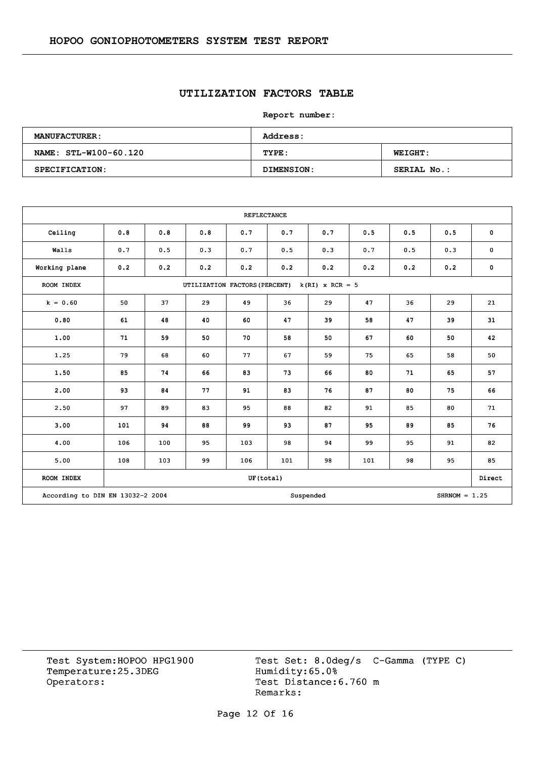## **UTILIZATION FACTORS TABLE**

**Report number:** 

| <b>MANUFACTURER:</b>  | Address:   |                |  |  |  |  |
|-----------------------|------------|----------------|--|--|--|--|
| NAME: STL-W100-60.120 | TYPE:      | <b>WEIGHT:</b> |  |  |  |  |
| SPECIFICATION:        | DIMENSION: | SERIAL No.:    |  |  |  |  |

|               |                                                                  |                                                    |     | <b>REFLECTANCE</b> |     |     |     |     |     |             |  |
|---------------|------------------------------------------------------------------|----------------------------------------------------|-----|--------------------|-----|-----|-----|-----|-----|-------------|--|
| Ceiling       | 0.8                                                              | 0.8                                                | 0.8 | 0.7                | 0.7 | 0.7 | 0.5 | 0.5 | 0.5 | $\pmb{0}$   |  |
| Walls         | 0.7                                                              | 0.5                                                | 0.3 | 0.7                | 0.5 | 0.3 | 0.7 | 0.5 | 0.3 | $\mathbf 0$ |  |
| Working plane | 0.2                                                              | 0.2                                                | 0.2 | 0.2                | 0.2 | 0.2 | 0.2 | 0.2 | 0.2 | $\pmb{0}$   |  |
| ROOM INDEX    |                                                                  | UTILIZATION FACTORS (PERCENT)<br>$k(RI)$ x RCR = 5 |     |                    |     |     |     |     |     |             |  |
| $k = 0.60$    | 50                                                               | 37                                                 | 29  | 49                 | 36  | 29  | 47  | 36  | 29  | 21          |  |
| 0.80          | 61                                                               | 48                                                 | 40  | 60                 | 47  | 39  | 58  | 47  | 39  | 31          |  |
| 1.00          | 71                                                               | 59                                                 | 50  | 70                 | 58  | 50  | 67  | 60  | 50  | 42          |  |
| 1.25          | 79                                                               | 68                                                 | 60  | 77                 | 67  | 59  | 75  | 65  | 58  | 50          |  |
| 1.50          | 85                                                               | 74                                                 | 66  | 83                 | 73  | 66  | 80  | 71  | 65  | 57          |  |
| 2.00          | 93                                                               | 84                                                 | 77  | 91                 | 83  | 76  | 87  | 80  | 75  | 66          |  |
| 2.50          | 97                                                               | 89                                                 | 83  | 95                 | 88  | 82  | 91  | 85  | 80  | 71          |  |
| 3.00          | 101                                                              | 94                                                 | 88  | 99                 | 93  | 87  | 95  | 89  | 85  | 76          |  |
| 4.00          | 106                                                              | 100                                                | 95  | 103                | 98  | 94  | 99  | 95  | 91  | 82          |  |
| 5.00          | 108                                                              | 103                                                | 99  | 106                | 101 | 98  | 101 | 98  | 95  | 85          |  |
| ROOM INDEX    |                                                                  |                                                    |     | UF(total)          |     |     |     |     |     | Direct      |  |
|               | According to DIN EN 13032-2 2004<br>Suspended<br>$SHRNOM = 1.25$ |                                                    |     |                    |     |     |     |     |     |             |  |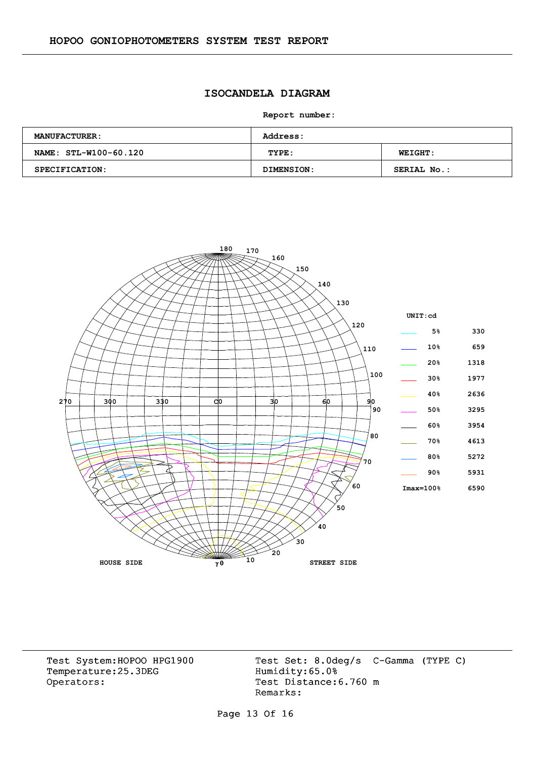### **ISOCANDELA DIAGRAM**

**Report number:** 

| <b>MANUFACTURER:</b>  | <b>Address:</b> |                    |  |  |  |  |
|-----------------------|-----------------|--------------------|--|--|--|--|
| NAME: STL-W100-60.120 | TYPE:           | <b>WEIGHT:</b>     |  |  |  |  |
| SPECIFICATION:        | DIMENSION:      | <b>SERIAL No.:</b> |  |  |  |  |



Temperature:25.3DEG Operators: Test Distance: 6.760 m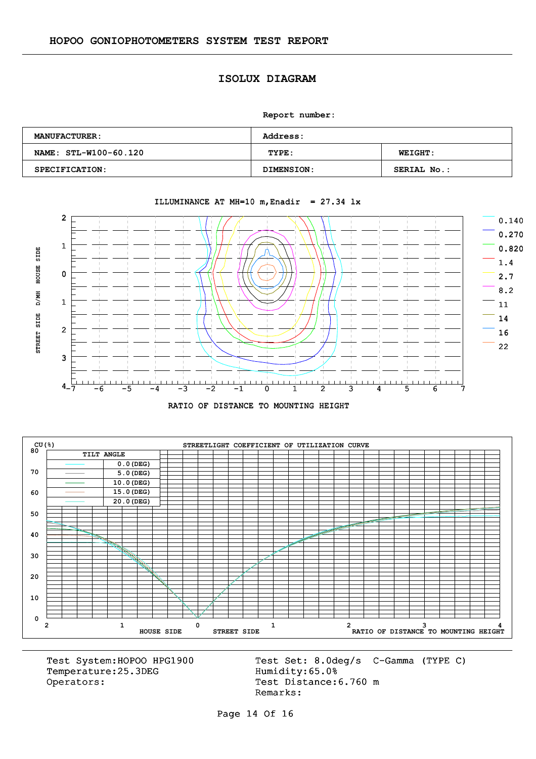#### **ISOLUX DIAGRAM**

**Report number:** 

| <b>MANUFACTURER:</b>  | <b>Address:</b>   |                    |  |  |  |  |
|-----------------------|-------------------|--------------------|--|--|--|--|
| NAME: STL-W100-60.120 | TYPE:             | <b>WEIGHT:</b>     |  |  |  |  |
| SPECIFICATION:        | <b>DIMENSION:</b> | <b>SERIAL No.:</b> |  |  |  |  |



#### ILLUMINANCE AT MH=10 m, Enadir =  $27.34$  lx





Temperature:25.3DEG Operators: Test Distance: 6.760 m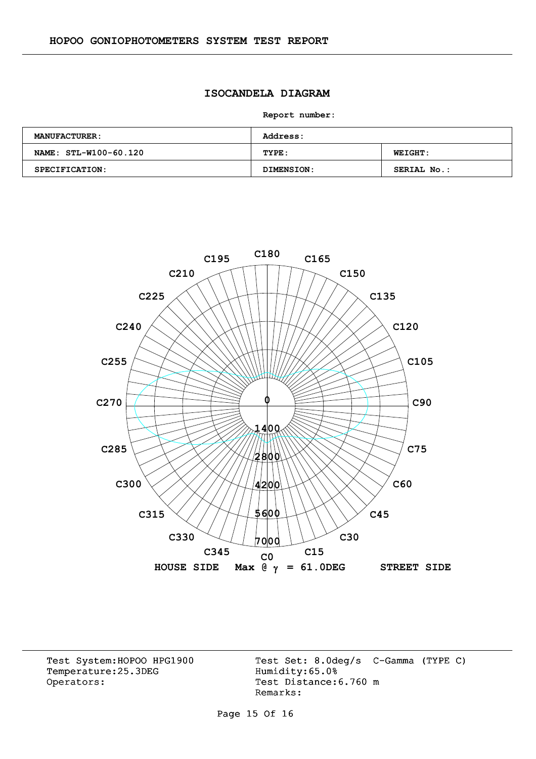### **ISOCANDELA DIAGRAM**

**Report number:** 

| <b>MANUFACTURER:</b>  | <b>Address:</b> |                    |  |  |  |  |
|-----------------------|-----------------|--------------------|--|--|--|--|
| NAME: STL-W100-60.120 | TYPE:           | <b>WEIGHT:</b>     |  |  |  |  |
| SPECIFICATION:        | DIMENSION:      | <b>SERIAL No.:</b> |  |  |  |  |



Temperature:25.3DEG Operators: Test Distance: 6.760 m